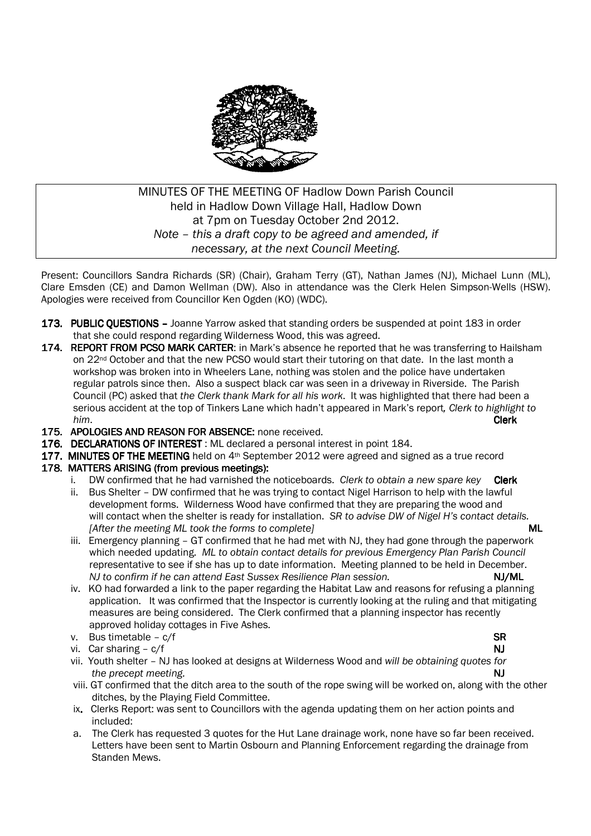

# MINUTES OF THE MEETING OF Hadlow Down Parish Council held in Hadlow Down Village Hall, Hadlow Down at 7pm on Tuesday October 2nd 2012. *Note – this a draft copy to be agreed and amended, if necessary, at the next Council Meeting.*

Present: Councillors Sandra Richards (SR) (Chair), Graham Terry (GT), Nathan James (NJ), Michael Lunn (ML), Clare Emsden (CE) and Damon Wellman (DW). Also in attendance was the Clerk Helen Simpson-Wells (HSW). Apologies were received from Councillor Ken Ogden (KO) (WDC).

- 173. PUBLIC OUESTIONS Joanne Yarrow asked that standing orders be suspended at point 183 in order that she could respond regarding Wilderness Wood, this was agreed.
- 174. REPORT FROM PCSO MARK CARTER: in Mark's absence he reported that he was transferring to Hailsham on 22<sup>nd</sup> October and that the new PCSO would start their tutoring on that date. In the last month a workshop was broken into in Wheelers Lane, nothing was stolen and the police have undertaken regular patrols since then. Also a suspect black car was seen in a driveway in Riverside. The Parish Council (PC) asked that *the Clerk thank Mark for all his work*. It was highlighted that there had been a serious accident at the top of Tinkers Lane which hadn't appeared in Mark's report*, Clerk to highlight to him*. **Clerk**
- 175. APOLOGIES AND REASON FOR ABSENCE: none received.
- 176. DECLARATIONS OF INTEREST : ML declared a personal interest in point 184.
- 177. MINUTES OF THE MEETING held on 4<sup>th</sup> September 2012 were agreed and signed as a true record

### 178. MATTERS ARISING (from previous meetings):

- i. DW confirmed that he had varnished the noticeboards. *Clerk to obtain a new spare key* Clerk ii. Bus Shelter - DW confirmed that he was trying to contact Nigel Harrison to help with the lawful development forms. Wilderness Wood have confirmed that they are preparing the wood and will contact when the shelter is ready for installation. *SR to advise DW of Nigel H's contact details. <i>After the meeting ML took the forms to complete]* $ML$  **and**  $ML$  **and**  $ML$  **and**  $ML$  **and**  $ML$  **and**  $ML$  **forms to complete]**
- iii. Emergency planning GT confirmed that he had met with NJ, they had gone through the paperwork which needed updating. *ML to obtain contact details for previous Emergency Plan Parish Council*  representative to see if she has up to date information. Meeting planned to be held in December. *NJ* to confirm if he can attend East Sussex Resilience Plan session. NJ/ML **NJ/ML**
- iv. KO had forwarded a link to the paper regarding the Habitat Law and reasons for refusing a planning application. It was confirmed that the Inspector is currently looking at the ruling and that mitigating measures are being considered. The Clerk confirmed that a planning inspector has recently approved holiday cottages in Five Ashes.
- v. Bus timetable c/f SR SR
- vi. Car sharing  $c/f$  NJ  $N$
- vii. Youth shelter NJ has looked at designs at Wilderness Wood and *will be obtaining quotes for the precept meeting.* NJ
- viii. GT confirmed that the ditch area to the south of the rope swing will be worked on, along with the other ditches, by the Playing Field Committee.
- ix. Clerks Report: was sent to Councillors with the agenda updating them on her action points and included:
- a. The Clerk has requested 3 quotes for the Hut Lane drainage work, none have so far been received. Letters have been sent to Martin Osbourn and Planning Enforcement regarding the drainage from Standen Mews.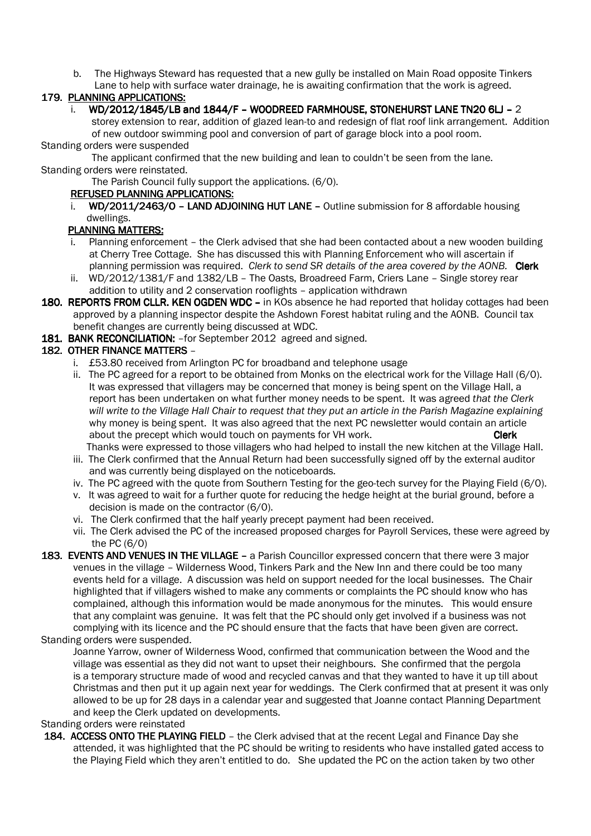b. The Highways Steward has requested that a new gully be installed on Main Road opposite Tinkers

# Lane to help with surface water drainage, he is awaiting confirmation that the work is agreed.

## 179. PLANNING APPLICATIONS:

## i. WD/2012/1845/LB and 1844/F – WOODREED FARMHOUSE, STONEHURST LANE TN20 6LJ – 2

 storey extension to rear, addition of glazed lean-to and redesign of flat roof link arrangement. Addition of new outdoor swimming pool and conversion of part of garage block into a pool room.

## Standing orders were suspended

 The applicant confirmed that the new building and lean to couldn't be seen from the lane. Standing orders were reinstated.

The Parish Council fully support the applications. (6/0).

## REFUSED PLANNING APPLICATIONS:

i. WD/2011/2463/O – LAND ADJOINING HUT LANE – Outline submission for 8 affordable housing dwellings.

## PLANNING MATTERS:

- Planning enforcement the Clerk advised that she had been contacted about a new wooden building at Cherry Tree Cottage. She has discussed this with Planning Enforcement who will ascertain if planning permission was required. *Clerk to send SR details of the area covered by the AONB.* Clerk
- ii. WD/2012/1381/F and 1382/LB The Oasts, Broadreed Farm, Criers Lane Single storey rear addition to utility and 2 conservation rooflights – application withdrawn
- 180. REPORTS FROM CLLR. KEN OGDEN WDC in KOs absence he had reported that holiday cottages had been approved by a planning inspector despite the Ashdown Forest habitat ruling and the AONB. Council tax benefit changes are currently being discussed at WDC.

## 181. BANK RECONCILIATION: - for September 2012 agreed and signed.

## 182. OTHER FINANCE MATTERS -

- i. £53.80 received from Arlington PC for broadband and telephone usage
- ii. The PC agreed for a report to be obtained from Monks on the electrical work for the Village Hall (6/0). It was expressed that villagers may be concerned that money is being spent on the Village Hall, a report has been undertaken on what further money needs to be spent. It was agreed *that the Clerk will write to the Village Hall Chair to request that they put an article in the Parish Magazine explaining*  why money is being spent. It was also agreed that the next PC newsletter would contain an article about the precept which would touch on payments for VH work. **Clerk** Clerk Thanks were expressed to those villagers who had helped to install the new kitchen at the Village Hall.
- iii. The Clerk confirmed that the Annual Return had been successfully signed off by the external auditor and was currently being displayed on the noticeboards.
- iv. The PC agreed with the quote from Southern Testing for the geo-tech survey for the Playing Field (6/0).
- v. It was agreed to wait for a further quote for reducing the hedge height at the burial ground, before a decision is made on the contractor (6/0).
- vi. The Clerk confirmed that the half yearly precept payment had been received.
- vii. The Clerk advised the PC of the increased proposed charges for Payroll Services, these were agreed by the PC (6/0)
- 183. EVENTS AND VENUES IN THE VILLAGE a Parish Councillor expressed concern that there were 3 major venues in the village – Wilderness Wood, Tinkers Park and the New Inn and there could be too many events held for a village. A discussion was held on support needed for the local businesses. The Chair highlighted that if villagers wished to make any comments or complaints the PC should know who has complained, although this information would be made anonymous for the minutes. This would ensure that any complaint was genuine. It was felt that the PC should only get involved if a business was not complying with its licence and the PC should ensure that the facts that have been given are correct.

### Standing orders were suspended.

 Joanne Yarrow, owner of Wilderness Wood, confirmed that communication between the Wood and the village was essential as they did not want to upset their neighbours. She confirmed that the pergola is a temporary structure made of wood and recycled canvas and that they wanted to have it up till about Christmas and then put it up again next year for weddings. The Clerk confirmed that at present it was only allowed to be up for 28 days in a calendar year and suggested that Joanne contact Planning Department and keep the Clerk updated on developments.

### Standing orders were reinstated

184. ACCESS ONTO THE PLAYING FIELD - the Clerk advised that at the recent Legal and Finance Day she attended, it was highlighted that the PC should be writing to residents who have installed gated access to the Playing Field which they aren't entitled to do. She updated the PC on the action taken by two other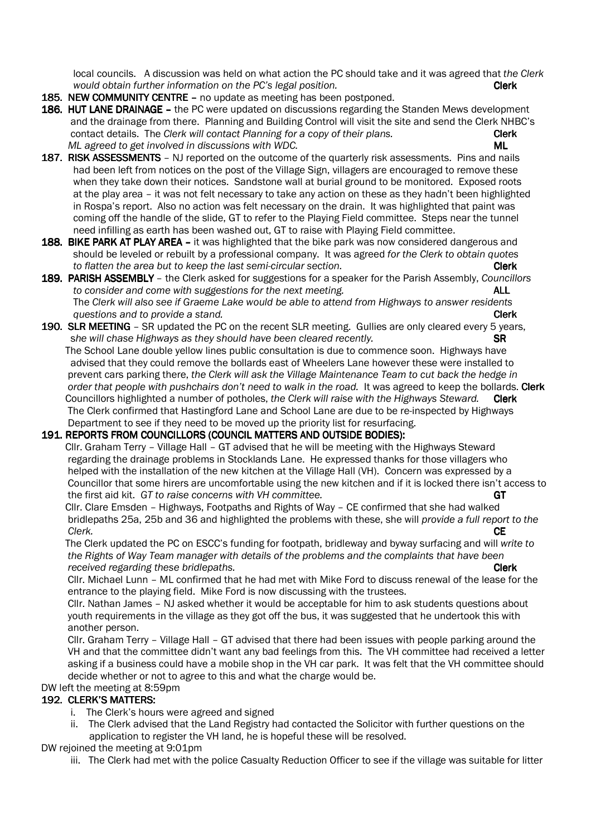local councils. A discussion was held on what action the PC should take and it was agreed that *the Clerk would obtain further information on the PC's legal position.* **CALC 1999 Clerk** 

- 185. NEW COMMUNITY CENTRE no update as meeting has been postponed.
- 186. HUT LANE DRAINAGE the PC were updated on discussions regarding the Standen Mews development and the drainage from there. Planning and Building Control will visit the site and send the Clerk NHBC's contact details. The *Clerk will contact Planning for a copy of their plans.* Clerk *ML agreed to get involved in discussions with WDC.*  $ML$
- 187. RISK ASSESSMENTS NJ reported on the outcome of the quarterly risk assessments. Pins and nails had been left from notices on the post of the Village Sign, villagers are encouraged to remove these when they take down their notices. Sandstone wall at burial ground to be monitored. Exposed roots at the play area – it was not felt necessary to take any action on these as they hadn't been highlighted in Rospa's report. Also no action was felt necessary on the drain. It was highlighted that paint was coming off the handle of the slide, GT to refer to the Playing Field committee. Steps near the tunnel need infilling as earth has been washed out, GT to raise with Playing Field committee.
- 188. BIKE PARK AT PLAY AREA it was highlighted that the bike park was now considered dangerous and should be leveled or rebuilt by a professional company. It was agreed *for the Clerk to obtain quotes to flatten the area but to keep the last semi-circular section.* **Clerk**
- 189. PARISH ASSEMBLY the Clerk asked for suggestions for a speaker for the Parish Assembly, *Councillors to consider and come with suggestions for the next meeting.* **ALL**  The *Clerk will also see if Graeme Lake would be able to attend from Highways to answer residents questions and to provide a stand.* Clerk
- 190. SLR MEETING SR updated the PC on the recent SLR meeting. Gullies are only cleared every 5 years, she will chase Highways as they should have been cleared recently. **SR**  The School Lane double yellow lines public consultation is due to commence soon. Highways have advised that they could remove the bollards east of Wheelers Lane however these were installed to prevent cars parking there, *the Clerk will ask the Village Maintenance Team to cut back the hedge in order that people with pushchairs don't need to walk in the road.* It was agreed to keep the bollards. Clerk Councillors highlighted a number of potholes, *the Clerk will raise with the Highways Steward.* **Clerk**  The Clerk confirmed that Hastingford Lane and School Lane are due to be re-inspected by Highways Department to see if they need to be moved up the priority list for resurfacing.

### 191. REPORTS FROM COUNCILLORS (COUNCIL MATTERS AND OUTSIDE BODIES):

Cllr. Graham Terry - Village Hall - GT advised that he will be meeting with the Highways Steward regarding the drainage problems in Stocklands Lane. He expressed thanks for those villagers who helped with the installation of the new kitchen at the Village Hall (VH). Concern was expressed by a Councillor that some hirers are uncomfortable using the new kitchen and if it is locked there isn't access to the first aid kit. *GT to raise concerns with VH committee.* GT

Cllr. Clare Emsden - Highways, Footpaths and Rights of Way - CE confirmed that she had walked bridlepaths 25a, 25b and 36 and highlighted the problems with these, she will *provide a full report to the Clerk.* CE

 The Clerk updated the PC on ESCC's funding for footpath, bridleway and byway surfacing and will *write to the Rights of Way Team manager with details of the problems and the complaints that have been received regarding these bridlepaths. Clerk* **Clerk Clerk Clerk** 

 Cllr. Michael Lunn – ML confirmed that he had met with Mike Ford to discuss renewal of the lease for the entrance to the playing field. Mike Ford is now discussing with the trustees.

 Cllr. Nathan James – NJ asked whether it would be acceptable for him to ask students questions about youth requirements in the village as they got off the bus, it was suggested that he undertook this with another person.

 Cllr. Graham Terry – Village Hall – GT advised that there had been issues with people parking around the VH and that the committee didn't want any bad feelings from this. The VH committee had received a letter asking if a business could have a mobile shop in the VH car park. It was felt that the VH committee should decide whether or not to agree to this and what the charge would be.

## DW left the meeting at 8:59pm

# 192. CLERK'S MATTERS:

- i. The Clerk's hours were agreed and signed
- ii. The Clerk advised that the Land Registry had contacted the Solicitor with further questions on the application to register the VH land, he is hopeful these will be resolved.

DW rejoined the meeting at 9:01pm

iii. The Clerk had met with the police Casualty Reduction Officer to see if the village was suitable for litter